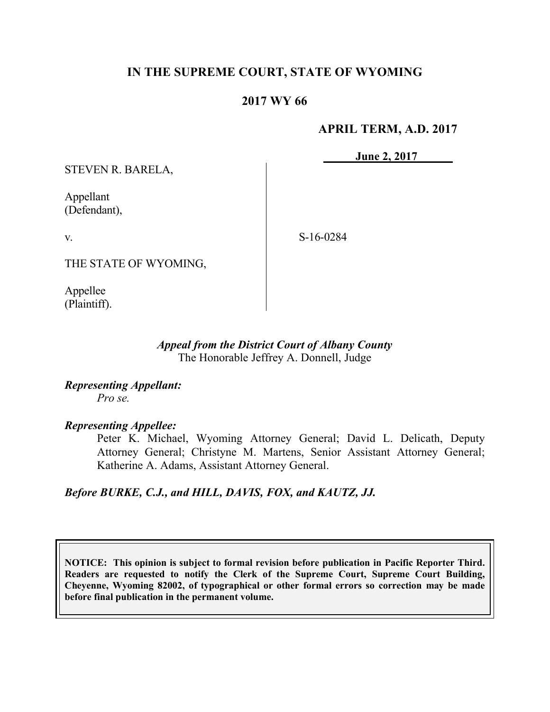# **IN THE SUPREME COURT, STATE OF WYOMING**

# **2017 WY 66**

### **APRIL TERM, A.D. 2017**

**June 2, 2017**

STEVEN R. BARELA,

Appellant (Defendant),

v.

S-16-0284

THE STATE OF WYOMING,

Appellee (Plaintiff).

### *Appeal from the District Court of Albany County* The Honorable Jeffrey A. Donnell, Judge

*Representing Appellant: Pro se.*

*Representing Appellee:*

Peter K. Michael, Wyoming Attorney General; David L. Delicath, Deputy Attorney General; Christyne M. Martens, Senior Assistant Attorney General; Katherine A. Adams, Assistant Attorney General.

## *Before BURKE, C.J., and HILL, DAVIS, FOX, and KAUTZ, JJ.*

**NOTICE: This opinion is subject to formal revision before publication in Pacific Reporter Third. Readers are requested to notify the Clerk of the Supreme Court, Supreme Court Building, Cheyenne, Wyoming 82002, of typographical or other formal errors so correction may be made before final publication in the permanent volume.**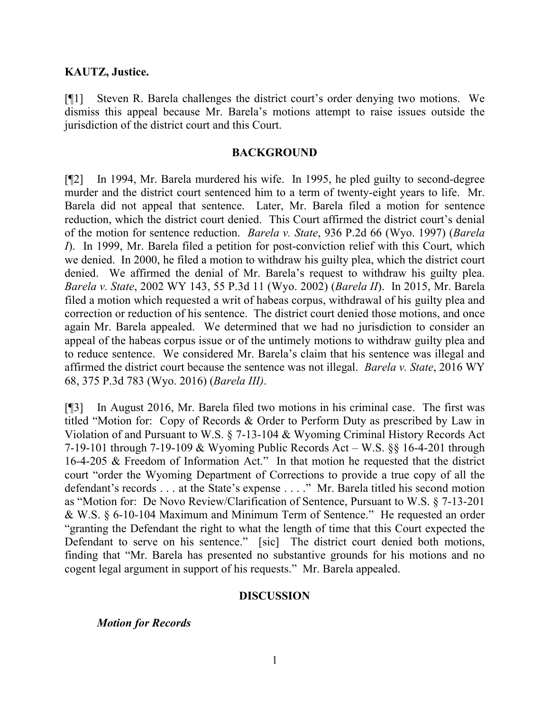### **KAUTZ, Justice.**

[¶1] Steven R. Barela challenges the district court's order denying two motions. We dismiss this appeal because Mr. Barela's motions attempt to raise issues outside the jurisdiction of the district court and this Court.

#### **BACKGROUND**

[¶2] In 1994, Mr. Barela murdered his wife. In 1995, he pled guilty to second-degree murder and the district court sentenced him to a term of twenty-eight years to life. Mr. Barela did not appeal that sentence. Later, Mr. Barela filed a motion for sentence reduction, which the district court denied. This Court affirmed the district court's denial of the motion for sentence reduction. *Barela v. State*, 936 P.2d 66 (Wyo. 1997) (*Barela I*). In 1999, Mr. Barela filed a petition for post-conviction relief with this Court, which we denied. In 2000, he filed a motion to withdraw his guilty plea, which the district court denied. We affirmed the denial of Mr. Barela's request to withdraw his guilty plea. *Barela v. State*, 2002 WY 143, 55 P.3d 11 (Wyo. 2002) (*Barela II*). In 2015, Mr. Barela filed a motion which requested a writ of habeas corpus, withdrawal of his guilty plea and correction or reduction of his sentence. The district court denied those motions, and once again Mr. Barela appealed. We determined that we had no jurisdiction to consider an appeal of the habeas corpus issue or of the untimely motions to withdraw guilty plea and to reduce sentence. We considered Mr. Barela's claim that his sentence was illegal and affirmed the district court because the sentence was not illegal. *Barela v. State*, 2016 WY 68, 375 P.3d 783 (Wyo. 2016) (*Barela III)*.

[¶3] In August 2016, Mr. Barela filed two motions in his criminal case. The first was titled "Motion for: Copy of Records & Order to Perform Duty as prescribed by Law in Violation of and Pursuant to W.S. § 7-13-104 & Wyoming Criminal History Records Act 7-19-101 through 7-19-109 & Wyoming Public Records Act – W.S. §§ 16-4-201 through 16-4-205 & Freedom of Information Act." In that motion he requested that the district court "order the Wyoming Department of Corrections to provide a true copy of all the defendant's records . . . at the State's expense . . . ." Mr. Barela titled his second motion as "Motion for: De Novo Review/Clarification of Sentence, Pursuant to W.S. § 7-13-201 & W.S. § 6-10-104 Maximum and Minimum Term of Sentence." He requested an order "granting the Defendant the right to what the length of time that this Court expected the Defendant to serve on his sentence." [sic] The district court denied both motions, finding that "Mr. Barela has presented no substantive grounds for his motions and no cogent legal argument in support of his requests." Mr. Barela appealed.

### **DISCUSSION**

*Motion for Records*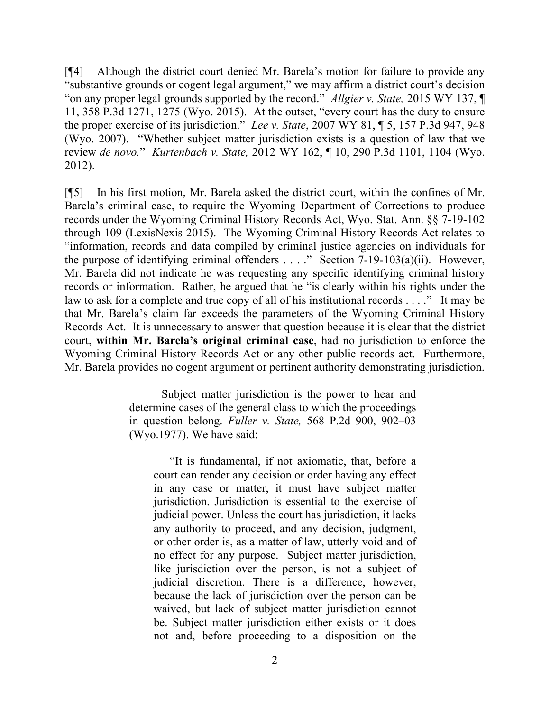[¶4] Although the district court denied Mr. Barela's motion for failure to provide any "substantive grounds or cogent legal argument," we may affirm a district court's decision "on any proper legal grounds supported by the record." *Allgier v. State,* 2015 WY 137, ¶ 11, 358 P.3d 1271, 1275 (Wyo. 2015). At the outset, "every court has the duty to ensure the proper exercise of its jurisdiction." *Lee v. State*, 2007 WY 81, ¶ 5, 157 P.3d 947, 948 (Wyo. 2007). "Whether subject matter jurisdiction exists is a question of law that we review *de novo.*" *Kurtenbach v. State,* 2012 WY 162, ¶ 10, 290 P.3d 1101, 1104 (Wyo. 2012).

[¶5] In his first motion, Mr. Barela asked the district court, within the confines of Mr. Barela's criminal case, to require the Wyoming Department of Corrections to produce records under the Wyoming Criminal History Records Act, Wyo. Stat. Ann. §§ 7-19-102 through 109 (LexisNexis 2015). The Wyoming Criminal History Records Act relates to "information, records and data compiled by criminal justice agencies on individuals for the purpose of identifying criminal offenders . . . ." Section 7-19-103(a)(ii). However, Mr. Barela did not indicate he was requesting any specific identifying criminal history records or information. Rather, he argued that he "is clearly within his rights under the law to ask for a complete and true copy of all of his institutional records . . . ." It may be that Mr. Barela's claim far exceeds the parameters of the Wyoming Criminal History Records Act. It is unnecessary to answer that question because it is clear that the district court, **within Mr. Barela's original criminal case**, had no jurisdiction to enforce the Wyoming Criminal History Records Act or any other public records act. Furthermore, Mr. Barela provides no cogent argument or pertinent authority demonstrating jurisdiction.

> Subject matter jurisdiction is the power to hear and determine cases of the general class to which the proceedings in question belong. *Fuller v. State,* 568 P.2d 900, 902–03 (Wyo.1977). We have said:

"It is fundamental, if not axiomatic, that, before a court can render any decision or order having any effect in any case or matter, it must have subject matter jurisdiction. Jurisdiction is essential to the exercise of judicial power. Unless the court has jurisdiction, it lacks any authority to proceed, and any decision, judgment, or other order is, as a matter of law, utterly void and of no effect for any purpose. Subject matter jurisdiction, like jurisdiction over the person, is not a subject of judicial discretion. There is a difference, however, because the lack of jurisdiction over the person can be waived, but lack of subject matter jurisdiction cannot be. Subject matter jurisdiction either exists or it does not and, before proceeding to a disposition on the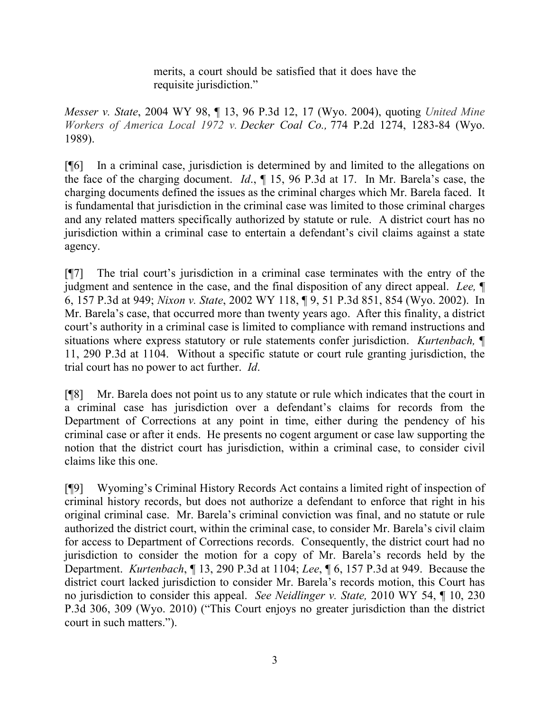merits, a court should be satisfied that it does have the requisite jurisdiction."

*Messer v. State*, 2004 WY 98, ¶ 13, 96 P.3d 12, 17 (Wyo. 2004), quoting *United Mine Workers of America Local 1972 v. Decker Coal Co.,* 774 P.2d 1274, 1283-84 (Wyo. 1989).

[¶6] In a criminal case, jurisdiction is determined by and limited to the allegations on the face of the charging document. *Id*., ¶ 15, 96 P.3d at 17. In Mr. Barela's case, the charging documents defined the issues as the criminal charges which Mr. Barela faced. It is fundamental that jurisdiction in the criminal case was limited to those criminal charges and any related matters specifically authorized by statute or rule. A district court has no jurisdiction within a criminal case to entertain a defendant's civil claims against a state agency.

[¶7] The trial court's jurisdiction in a criminal case terminates with the entry of the judgment and sentence in the case, and the final disposition of any direct appeal. *Lee,* ¶ 6, 157 P.3d at 949; *Nixon v. State*, 2002 WY 118, ¶ 9, 51 P.3d 851, 854 (Wyo. 2002). In Mr. Barela's case, that occurred more than twenty years ago. After this finality, a district court's authority in a criminal case is limited to compliance with remand instructions and situations where express statutory or rule statements confer jurisdiction. *Kurtenbach,* ¶ 11, 290 P.3d at 1104. Without a specific statute or court rule granting jurisdiction, the trial court has no power to act further. *Id*.

[¶8] Mr. Barela does not point us to any statute or rule which indicates that the court in a criminal case has jurisdiction over a defendant's claims for records from the Department of Corrections at any point in time, either during the pendency of his criminal case or after it ends. He presents no cogent argument or case law supporting the notion that the district court has jurisdiction, within a criminal case, to consider civil claims like this one.

[¶9] Wyoming's Criminal History Records Act contains a limited right of inspection of criminal history records, but does not authorize a defendant to enforce that right in his original criminal case. Mr. Barela's criminal conviction was final, and no statute or rule authorized the district court, within the criminal case, to consider Mr. Barela's civil claim for access to Department of Corrections records. Consequently, the district court had no jurisdiction to consider the motion for a copy of Mr. Barela's records held by the Department. *Kurtenbach*, ¶ 13, 290 P.3d at 1104; *Lee*, ¶ 6, 157 P.3d at 949. Because the district court lacked jurisdiction to consider Mr. Barela's records motion, this Court has no jurisdiction to consider this appeal. *See Neidlinger v. State,* 2010 WY 54, ¶ 10, 230 P.3d 306, 309 (Wyo. 2010) ("This Court enjoys no greater jurisdiction than the district court in such matters.").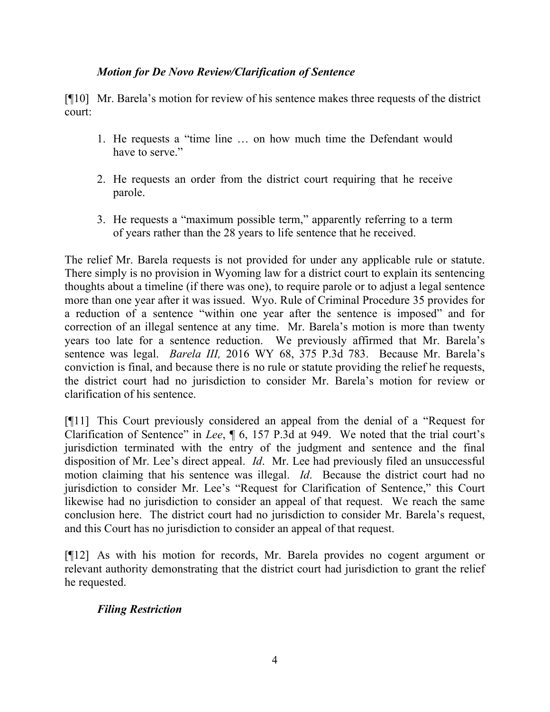# *Motion for De Novo Review/Clarification of Sentence*

[¶10] Mr. Barela's motion for review of his sentence makes three requests of the district court:

- 1. He requests a "time line … on how much time the Defendant would have to serve."
- 2. He requests an order from the district court requiring that he receive parole.
- 3. He requests a "maximum possible term," apparently referring to a term of years rather than the 28 years to life sentence that he received.

The relief Mr. Barela requests is not provided for under any applicable rule or statute. There simply is no provision in Wyoming law for a district court to explain its sentencing thoughts about a timeline (if there was one), to require parole or to adjust a legal sentence more than one year after it was issued. Wyo. Rule of Criminal Procedure 35 provides for a reduction of a sentence "within one year after the sentence is imposed" and for correction of an illegal sentence at any time. Mr. Barela's motion is more than twenty years too late for a sentence reduction. We previously affirmed that Mr. Barela's sentence was legal. *Barela III,* 2016 WY 68, 375 P.3d 783. Because Mr. Barela's conviction is final, and because there is no rule or statute providing the relief he requests, the district court had no jurisdiction to consider Mr. Barela's motion for review or clarification of his sentence.

[¶11] This Court previously considered an appeal from the denial of a "Request for Clarification of Sentence" in *Lee*, ¶ 6, 157 P.3d at 949. We noted that the trial court's jurisdiction terminated with the entry of the judgment and sentence and the final disposition of Mr. Lee's direct appeal. *Id*. Mr. Lee had previously filed an unsuccessful motion claiming that his sentence was illegal. *Id*. Because the district court had no jurisdiction to consider Mr. Lee's "Request for Clarification of Sentence," this Court likewise had no jurisdiction to consider an appeal of that request. We reach the same conclusion here. The district court had no jurisdiction to consider Mr. Barela's request, and this Court has no jurisdiction to consider an appeal of that request.

[¶12] As with his motion for records, Mr. Barela provides no cogent argument or relevant authority demonstrating that the district court had jurisdiction to grant the relief he requested.

## *Filing Restriction*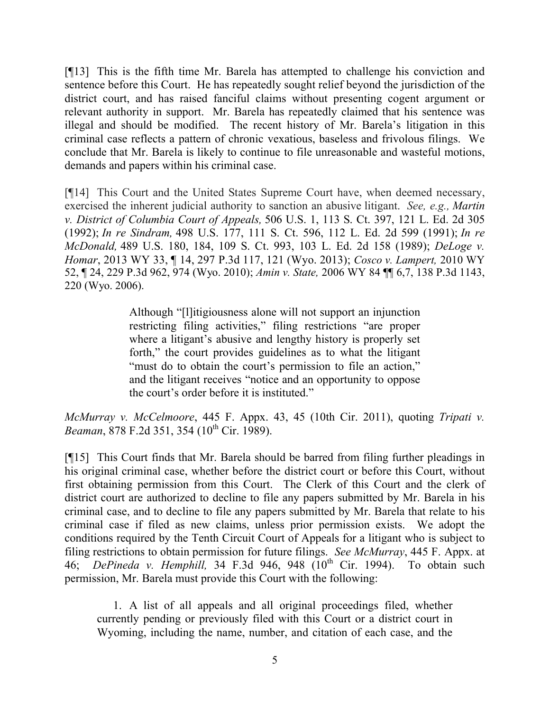[¶13] This is the fifth time Mr. Barela has attempted to challenge his conviction and sentence before this Court. He has repeatedly sought relief beyond the jurisdiction of the district court, and has raised fanciful claims without presenting cogent argument or relevant authority in support. Mr. Barela has repeatedly claimed that his sentence was illegal and should be modified. The recent history of Mr. Barela's litigation in this criminal case reflects a pattern of chronic vexatious, baseless and frivolous filings. We conclude that Mr. Barela is likely to continue to file unreasonable and wasteful motions, demands and papers within his criminal case.

[¶14] This Court and the United States Supreme Court have, when deemed necessary, exercised the inherent judicial authority to sanction an abusive litigant. *See, e.g., Martin v. District of Columbia Court of Appeals,* 506 U.S. 1, 113 S. Ct. 397, 121 L. Ed. 2d 305 (1992); *In re Sindram,* 498 U.S. 177, 111 S. Ct. 596, 112 L. Ed. 2d 599 (1991); *In re McDonald,* 489 U.S. 180, 184, 109 S. Ct. 993, 103 L. Ed. 2d 158 (1989); *DeLoge v. Homar*, 2013 WY 33, ¶ 14, 297 P.3d 117, 121 (Wyo. 2013); *Cosco v. Lampert,* 2010 WY 52, ¶ 24, 229 P.3d 962, 974 (Wyo. 2010); *Amin v. State,* 2006 WY 84 ¶¶ 6,7, 138 P.3d 1143, 220 (Wyo. 2006).

> Although "[l]itigiousness alone will not support an injunction restricting filing activities," filing restrictions "are proper where a litigant's abusive and lengthy history is properly set forth," the court provides guidelines as to what the litigant "must do to obtain the court's permission to file an action," and the litigant receives "notice and an opportunity to oppose the court's order before it is instituted."

*McMurray v. McCelmoore*, 445 F. Appx. 43, 45 (10th Cir. 2011), quoting *Tripati v. Beaman*, 878 F.2d 351, 354 (10<sup>th</sup> Cir. 1989).

[¶15] This Court finds that Mr. Barela should be barred from filing further pleadings in his original criminal case, whether before the district court or before this Court, without first obtaining permission from this Court. The Clerk of this Court and the clerk of district court are authorized to decline to file any papers submitted by Mr. Barela in his criminal case, and to decline to file any papers submitted by Mr. Barela that relate to his criminal case if filed as new claims, unless prior permission exists. We adopt the conditions required by the Tenth Circuit Court of Appeals for a litigant who is subject to filing restrictions to obtain permission for future filings. *See McMurray*, 445 F. Appx. at 46; *DePineda v. Hemphill*, 34 F.3d 946, 948 (10<sup>th</sup> Cir. 1994). To obtain such permission, Mr. Barela must provide this Court with the following:

1. A list of all appeals and all original proceedings filed, whether currently pending or previously filed with this Court or a district court in Wyoming, including the name, number, and citation of each case, and the